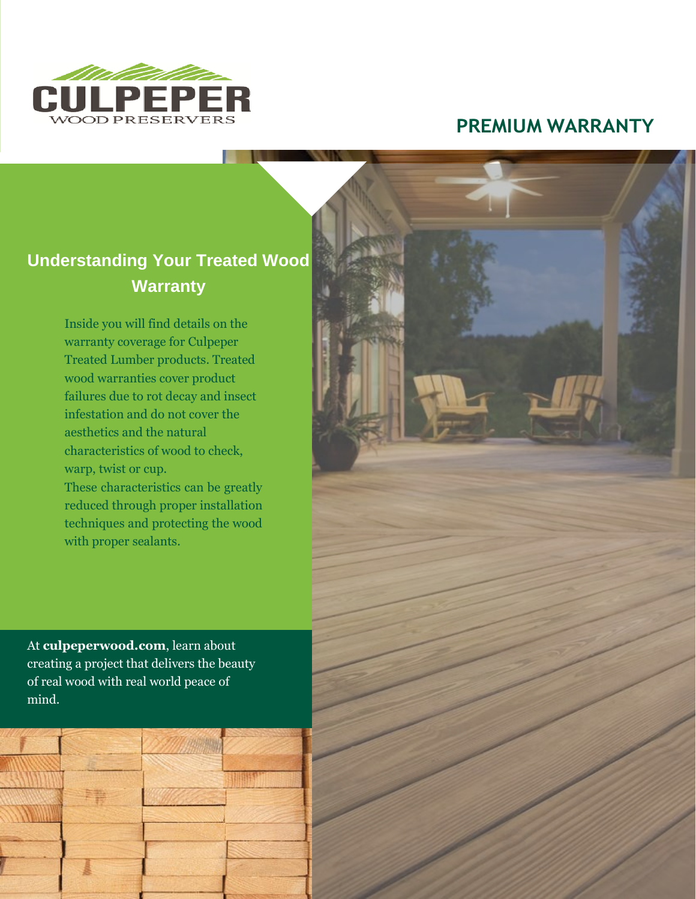

# **PREMIUM WARRANTY**

# **Understanding Your Treated Wood Warranty**

Inside you will find details on the warranty coverage for Culpeper Treated Lumber products. Treated wood warranties cover product failures due to rot decay and insect infestation and do not cover the aesthetics and the natural characteristics of wood to check, warp, twist or cup.

These characteristics can be greatly reduced through proper installation techniques and protecting the wood with proper sealants.

At **culpeperwood.com**, learn about creating a project that delivers the beauty of real wood with real world peace of mind.

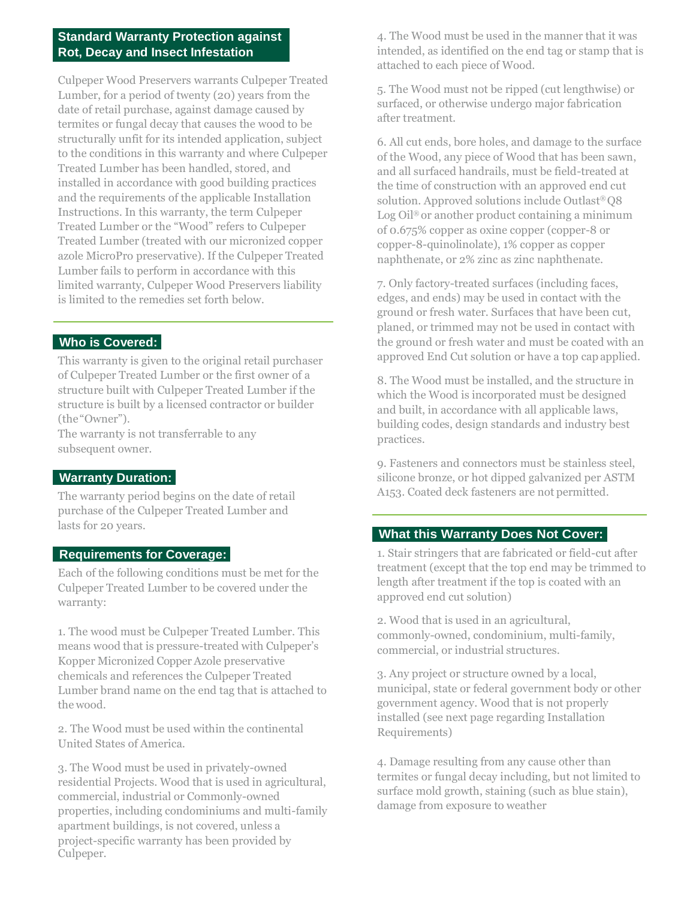## **Standard Warranty Protection against Rot, Decay and Insect Infestation**

Culpeper Wood Preservers warrants Culpeper Treated Lumber, for a period of twenty (20) years from the date of retail purchase, against damage caused by termites or fungal decay that causes the wood to be structurally unfit for its intended application, subject to the conditions in this warranty and where Culpeper Treated Lumber has been handled, stored, and installed in accordance with good building practices and the requirements of the applicable Installation Instructions. In this warranty, the term Culpeper Treated Lumber or the "Wood" refers to Culpeper Treated Lumber (treated with our micronized copper azole MicroPro preservative). If the Culpeper Treated Lumber fails to perform in accordance with this limited warranty, Culpeper Wood Preservers liability is limited to the remedies set forth below.

### **Who is Covered:**

This warranty is given to the original retail purchaser of Culpeper Treated Lumber or the first owner of a structure built with Culpeper Treated Lumber if the structure is built by a licensed contractor or builder (the"Owner").

The warranty is not transferrable to any subsequent owner.

#### **Warranty Duration:**

The warranty period begins on the date of retail purchase of the Culpeper Treated Lumber and lasts for 20 years.

### **Requirements for Coverage:**

Each of the following conditions must be met for the Culpeper Treated Lumber to be covered under the warranty:

1. The wood must be Culpeper Treated Lumber. This means wood that is pressure-treated with Culpeper's Kopper Micronized Copper Azole preservative chemicals and references the Culpeper Treated Lumber brand name on the end tag that is attached to the wood.

2. The Wood must be used within the continental United States of America.

3. The Wood must be used in privately-owned residential Projects. Wood that is used in agricultural, commercial, industrial or Commonly-owned properties, including condominiums and multi-family apartment buildings, is not covered, unless a project-specific warranty has been provided by Culpeper.

4. The Wood must be used in the manner that it was intended, as identified on the end tag or stamp that is attached to each piece of Wood.

5. The Wood must not be ripped (cut lengthwise) or surfaced, or otherwise undergo major fabrication after treatment.

6. All cut ends, bore holes, and damage to the surface of the Wood, any piece of Wood that has been sawn, and all surfaced handrails, must be field-treated at the time of construction with an approved end cut solution. Approved solutions include Outlast® Q8 Log Oil® or another product containing a minimum of 0.675% copper as oxine copper (copper-8 or copper-8-quinolinolate), 1% copper as copper naphthenate, or 2% zinc as zinc naphthenate.

7. Only factory-treated surfaces (including faces, edges, and ends) may be used in contact with the ground or fresh water. Surfaces that have been cut, planed, or trimmed may not be used in contact with the ground or fresh water and must be coated with an approved End Cut solution or have a top cap applied.

8. The Wood must be installed, and the structure in which the Wood is incorporated must be designed and built, in accordance with all applicable laws, building codes, design standards and industry best practices.

9. Fasteners and connectors must be stainless steel, silicone bronze, or hot dipped galvanized per ASTM A153. Coated deck fasteners are not permitted.

## **What this Warranty Does Not Cover:**

1. Stair stringers that are fabricated or field-cut after treatment (except that the top end may be trimmed to length after treatment if the top is coated with an approved end cut solution)

2. Wood that is used in an agricultural, commonly-owned, condominium, multi-family, commercial, or industrial structures.

3. Any project or structure owned by a local, municipal, state or federal government body or other government agency. Wood that is not properly installed (see next page regarding Installation Requirements)

4. Damage resulting from any cause other than termites or fungal decay including, but not limited to surface mold growth, staining (such as blue stain), damage from exposure to weather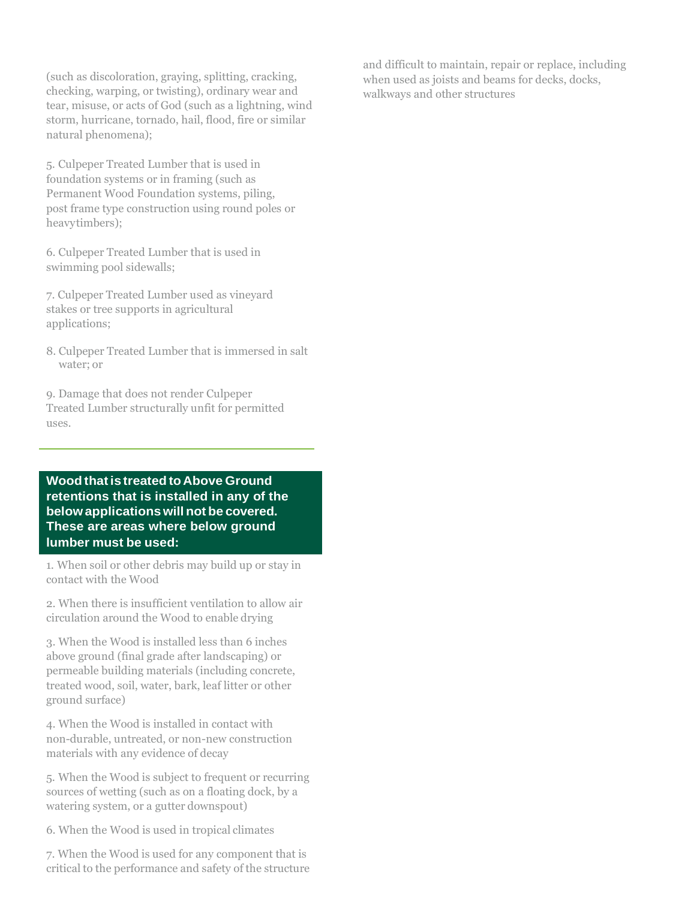(such as discoloration, graying, splitting, cracking, checking, warping, or twisting), ordinary wear and tear, misuse, or acts of God (such as a lightning, wind storm, hurricane, tornado, hail, flood, fire or similar natural phenomena);

5. Culpeper Treated Lumber that is used in foundation systems or in framing (such as Permanent Wood Foundation systems, piling, post frame type construction using round poles or heavytimbers);

6. Culpeper Treated Lumber that is used in swimming pool sidewalls;

7. Culpeper Treated Lumber used as vineyard stakes or tree supports in agricultural applications:

8. Culpeper Treated Lumber that is immersed in salt water; or

9. Damage that does not render Culpeper Treated Lumber structurally unfit for permitted uses.

**Wood thatis treated toAbove Ground retentions that is installed in any of the belowapplicationswill not be covered. These are areas where below ground lumber must be used:**

1. When soil or other debris may build up or stay in contact with the Wood

2. When there is insufficient ventilation to allow air circulation around the Wood to enable drying

3. When the Wood is installed less than 6 inches above ground (final grade after landscaping) or permeable building materials (including concrete, treated wood, soil, water, bark, leaf litter or other ground surface)

4. When the Wood is installed in contact with non-durable, untreated, or non-new construction materials with any evidence of decay

5. When the Wood is subject to frequent or recurring sources of wetting (such as on a floating dock, by a watering system, or a gutter downspout)

6. When the Wood is used in tropical climates

7. When the Wood is used for any component that is critical to the performance and safety of the structure and difficult to maintain, repair or replace, including when used as joists and beams for decks, docks, walkways and other structures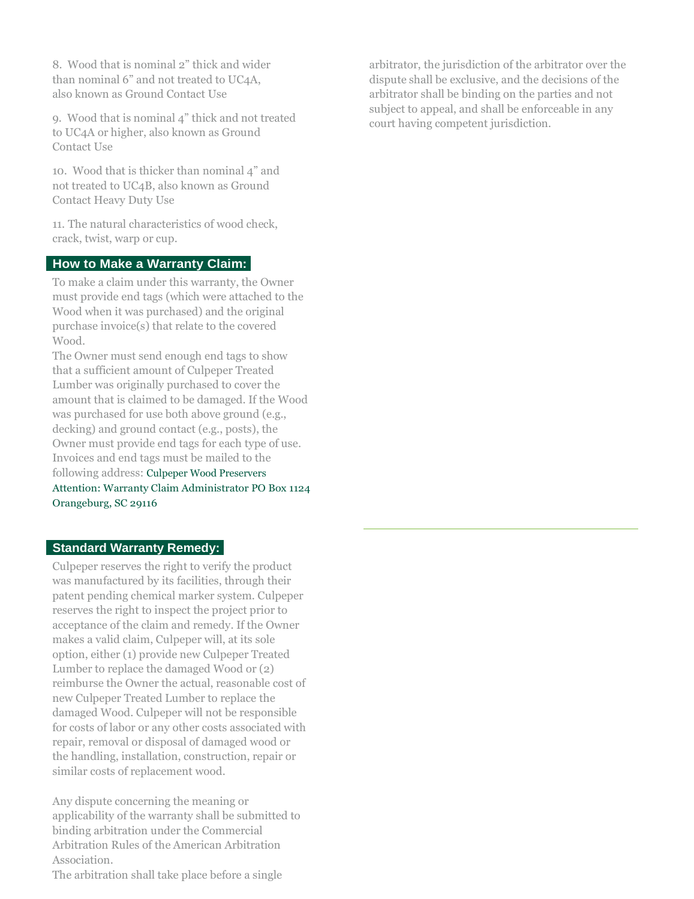8. Wood that is nominal 2" thick and wider than nominal 6" and not treated to UC4A, also known as Ground Contact Use

9. Wood that is nominal 4" thick and not treated to UC4A or higher, also known as Ground Contact Use

10. Wood that is thicker than nominal 4" and not treated to UC4B, also known as Ground Contact Heavy Duty Use

11. The natural characteristics of wood check, crack, twist, warp or cup.

#### **How to Make a Warranty Claim:**

To make a claim under this warranty, the Owner must provide end tags (which were attached to the Wood when it was purchased) and the original purchase invoice(s) that relate to the covered Wood.

The Owner must send enough end tags to show that a sufficient amount of Culpeper Treated Lumber was originally purchased to cover the amount that is claimed to be damaged. If the Wood was purchased for use both above ground (e.g., decking) and ground contact (e.g., posts), the Owner must provide end tags for each type of use. Invoices and end tags must be mailed to the following address: Culpeper Wood Preservers Attention: Warranty Claim Administrator PO Box 1124 Orangeburg, SC 29116

### **Standard Warranty Remedy:**

Culpeper reserves the right to verify the product was manufactured by its facilities, through their patent pending chemical marker system. Culpeper reserves the right to inspect the project prior to acceptance of the claim and remedy. If the Owner makes a valid claim, Culpeper will, at its sole option, either (1) provide new Culpeper Treated Lumber to replace the damaged Wood or (2) reimburse the Owner the actual, reasonable cost of new Culpeper Treated Lumber to replace the damaged Wood. Culpeper will not be responsible for costs of labor or any other costs associated with repair, removal or disposal of damaged wood or the handling, installation, construction, repair or similar costs of replacement wood.

Any dispute concerning the meaning or applicability of the warranty shall be submitted to binding arbitration under the Commercial Arbitration Rules of the American Arbitration Association. The arbitration shall take place before a single

arbitrator, the jurisdiction of the arbitrator over the dispute shall be exclusive, and the decisions of the arbitrator shall be binding on the parties and not subject to appeal, and shall be enforceable in any court having competent jurisdiction.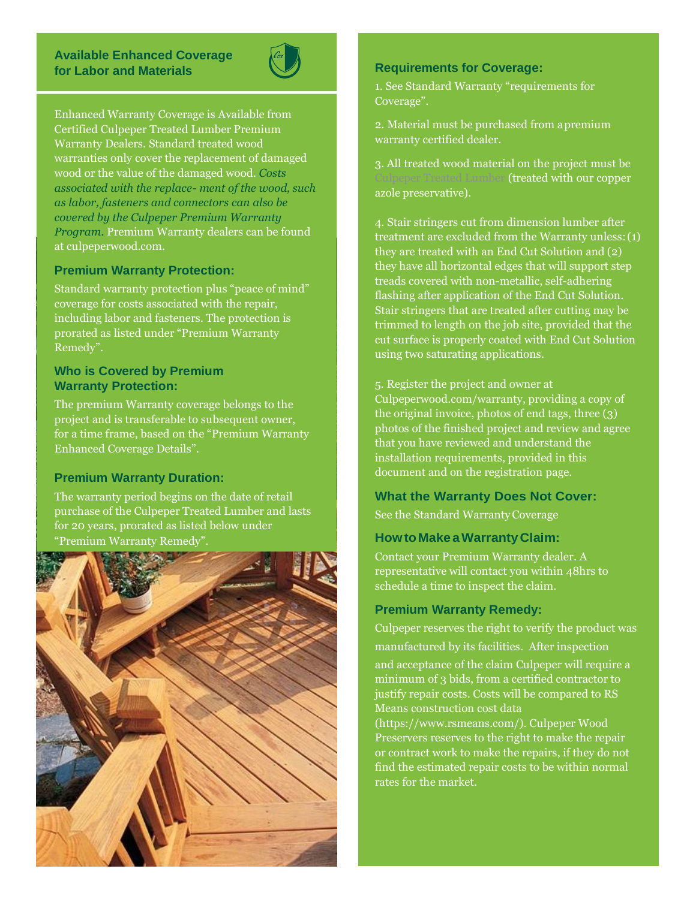#### **Available Enhanced Coverage for Labor and Materials**



Enhanced Warranty Coverage is Available from Certified Culpeper Treated Lumber Premium Warranty Dealers. Standard treated wood warranties only cover the replacement of damaged wood or the value of the damaged wood. *Costs associated with the replace- ment of the wood, such as labor, fasteners and connectors can also be covered by the Culpeper Premium Warranty Program.* Premium Warranty dealers can be found at culpeperwood.com.

### **Premium Warranty Protection:**

Standard warranty protection plus "peace of mind" coverage for costs associated with the repair, including labor and fasteners. The protection is prorated as listed under "Premium Warranty Remedy".

### **Who is Covered by Premium Warranty Protection:**

The premium Warranty coverage belongs to the project and is transferable to subsequent owner, for a time frame, based on the "Premium Warranty Enhanced Coverage Details".

#### **Premium Warranty Duration:**

The warranty period begins on the date of retail purchase of the Culpeper Treated Lumber and lasts for 20 years, prorated as listed below under "Premium Warranty Remedy".



#### **Requirements for Coverage:**

1. See Standard Warranty "requirements for Coverage".

2. Material must be purchased from apremium warranty certified dealer.

3. All treated wood material on the project must be Culpeper Treated Lumber (treated with our copper azole preservative).

4. Stair stringers cut from dimension lumber after treatment are excluded from the Warranty unless:(1) they are treated with an End Cut Solution and (2) they have all horizontal edges that will support step treads covered with non-metallic, self-adhering flashing after application of the End Cut Solution. Stair stringers that are treated after cutting may be trimmed to length on the job site, provided that the cut surface is properly coated with End Cut Solution using two saturating applications.

5. Register the project and owner at Culpeperwood.com/warranty, providing a copy of the original invoice, photos of end tags, three (3) photos of the finished project and review and agree that you have reviewed and understand the installation requirements, provided in this document and on the registration page.

#### **What the Warranty Does Not Cover:**

See the Standard WarrantyCoverage

#### **HowtoMakeaWarrantyClaim:**

Contact your Premium Warranty dealer. A representative will contact you within 48hrs to schedule a time to inspect the claim.

#### **Premium Warranty Remedy:**

Culpeper reserves the right to verify the product was manufactured by its facilities. After inspection and acceptance of the claim Culpeper will require a minimum of 3 bids, from a certified contractor to justify repair costs. Costs will be compared to RS Means construction cost data [\(https://www.rsmeans.com/\). C](http://www.rsmeans.com/))ulpeper Wood Preservers reserves to the right to make the repair or contract work to make the repairs, if they do not

find the estimated repair costs to be within normal rates for the market.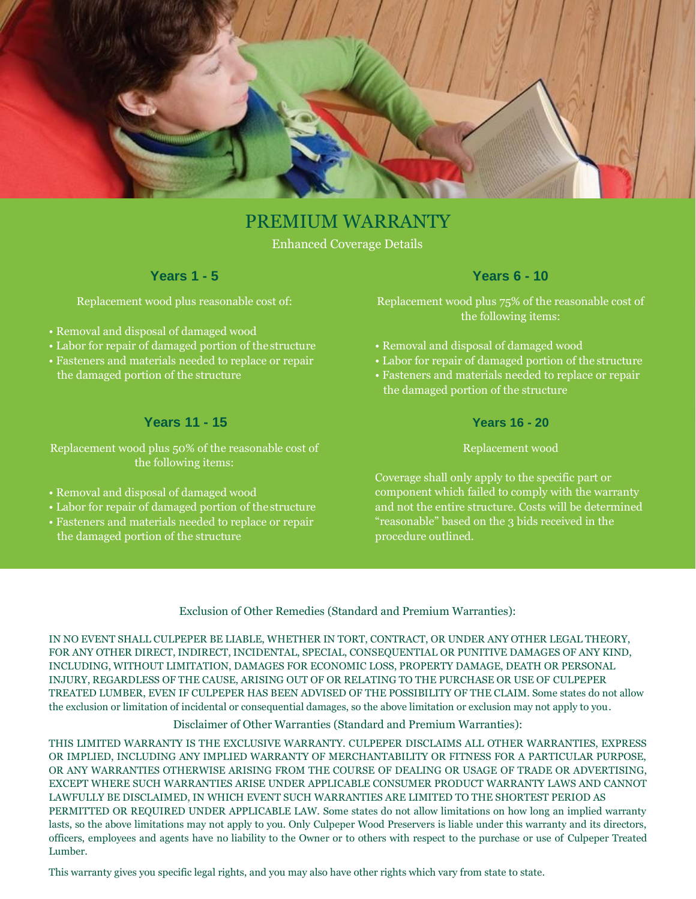

# PREMIUM WARRANTY

Enhanced Coverage Details

## **Years 1 - 5**

Replacement wood plus reasonable cost of:

- Removal and disposal of damaged wood
- Labor for repair of damaged portion of thestructure
- Fasteners and materials needed to replace or repair the damaged portion of the structure

## **Years 11 - 15**

Replacement wood plus 50% of the reasonable cost of the following items:

- Removal and disposal of damaged wood
- Labor for repair of damaged portion of thestructure
- Fasteners and materials needed to replace or repair the damaged portion of the structure

## **Years 6 - 10**

Replacement wood plus 75% of the reasonable cost of the following items:

- Removal and disposal of damaged wood
- Labor for repair of damaged portion of the structure
- Fasteners and materials needed to replace or repair the damaged portion of the structure

#### **Years 16 - 20**

#### Replacement wood

Coverage shall only apply to the specific part or component which failed to comply with the warranty and not the entire structure. Costs will be determined "reasonable" based on the 3 bids received in the procedure outlined.

#### Exclusion of Other Remedies (Standard and Premium Warranties):

IN NO EVENT SHALL CULPEPER BE LIABLE, WHETHER IN TORT, CONTRACT, OR UNDER ANY OTHER LEGAL THEORY, FOR ANY OTHER DIRECT, INDIRECT, INCIDENTAL, SPECIAL, CONSEQUENTIAL OR PUNITIVE DAMAGES OF ANY KIND, INCLUDING, WITHOUT LIMITATION, DAMAGES FOR ECONOMIC LOSS, PROPERTY DAMAGE, DEATH OR PERSONAL INJURY, REGARDLESS OF THE CAUSE, ARISING OUT OF OR RELATING TO THE PURCHASE OR USE OF CULPEPER TREATED LUMBER, EVEN IF CULPEPER HAS BEEN ADVISED OF THE POSSIBILITY OF THE CLAIM. Some states do not allow the exclusion or limitation of incidental or consequential damages, so the above limitation or exclusion may not apply to you.

#### Disclaimer of Other Warranties (Standard and Premium Warranties):

THIS LIMITED WARRANTY IS THE EXCLUSIVE WARRANTY. CULPEPER DISCLAIMS ALL OTHER WARRANTIES, EXPRESS OR IMPLIED, INCLUDING ANY IMPLIED WARRANTY OF MERCHANTABILITY OR FITNESS FOR A PARTICULAR PURPOSE, OR ANY WARRANTIES OTHERWISE ARISING FROM THE COURSE OF DEALING OR USAGE OF TRADE OR ADVERTISING, EXCEPT WHERE SUCH WARRANTIES ARISE UNDER APPLICABLE CONSUMER PRODUCT WARRANTY LAWS AND CANNOT LAWFULLY BE DISCLAIMED, IN WHICH EVENT SUCH WARRANTIES ARE LIMITED TO THE SHORTEST PERIOD AS PERMITTED OR REQUIRED UNDER APPLICABLE LAW. Some states do not allow limitations on how long an implied warranty lasts, so the above limitations may not apply to you. Only Culpeper Wood Preservers is liable under this warranty and its directors, officers, employees and agents have no liability to the Owner or to others with respect to the purchase or use of Culpeper Treated Lumber.

This warranty gives you specific legal rights, and you may also have other rights which vary from state to state.